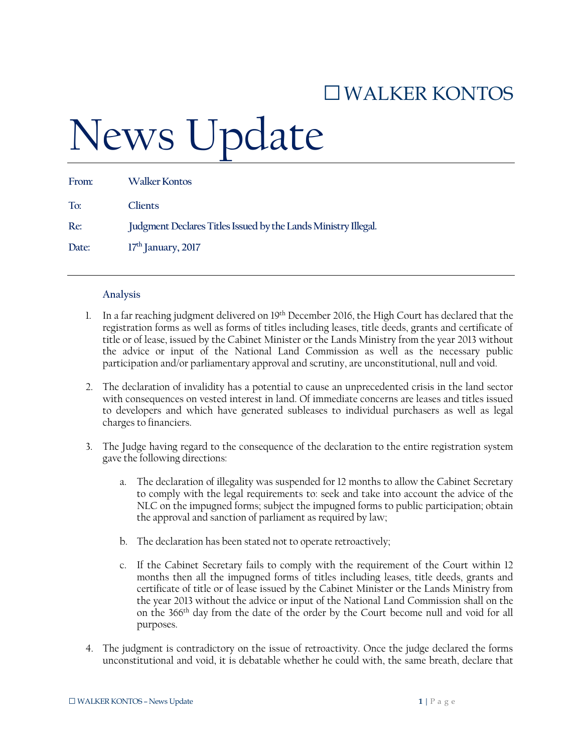## □WALKER KONTOS

## News Update

| From: | <b>Walker Kontos</b>                                           |
|-------|----------------------------------------------------------------|
| To:   | <b>Clients</b>                                                 |
| Re:   | Judgment Declares Titles Issued by the Lands Ministry Illegal. |
| Date: | $17th$ January, 2017                                           |

## **Analysis**

- 1. In a far reaching judgment delivered on 19th December 2016, the High Court has declared that the registration forms as well as forms of titles including leases, title deeds, grants and certificate of title or of lease, issued by the Cabinet Minister or the Lands Ministry from the year 2013 without the advice or input of the National Land Commission as well as the necessary public participation and/or parliamentary approval and scrutiny, are unconstitutional, null and void.
- 2. The declaration of invalidity has a potential to cause an unprecedented crisis in the land sector with consequences on vested interest in land. Of immediate concerns are leases and titles issued to developers and which have generated subleases to individual purchasers as well as legal charges to financiers.
- 3. The Judge having regard to the consequence of the declaration to the entire registration system gave the following directions:
	- a. The declaration of illegality was suspended for 12 months to allow the Cabinet Secretary to comply with the legal requirements to: seek and take into account the advice of the NLC on the impugned forms; subject the impugned forms to public participation; obtain the approval and sanction of parliament as required by law;
	- b. The declaration has been stated not to operate retroactively;
	- c. If the Cabinet Secretary fails to comply with the requirement of the Court within 12 months then all the impugned forms of titles including leases, title deeds, grants and certificate of title or of lease issued by the Cabinet Minister or the Lands Ministry from the year 2013 without the advice or input of the National Land Commission shall on the on the 366th day from the date of the order by the Court become null and void for all purposes.
- 4. The judgment is contradictory on the issue of retroactivity. Once the judge declared the forms unconstitutional and void, it is debatable whether he could with, the same breath, declare that